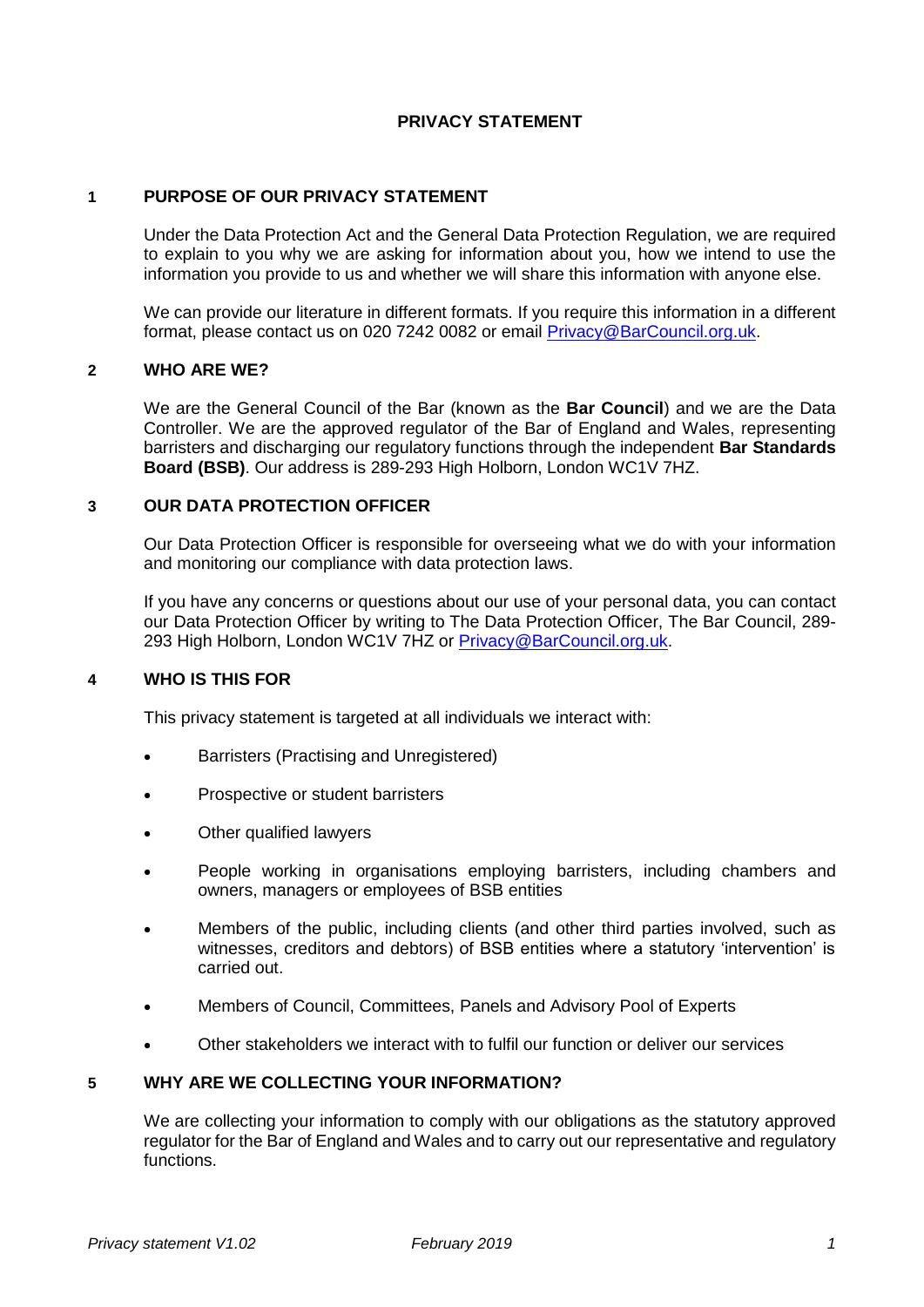## **PRIVACY STATEMENT**

## **1 PURPOSE OF OUR PRIVACY STATEMENT**

Under the Data Protection Act and the General Data Protection Regulation, we are required to explain to you why we are asking for information about you, how we intend to use the information you provide to us and whether we will share this information with anyone else.

We can provide our literature in different formats. If you require this information in a different format, please contact us on 020 7242 0082 or email [Privacy@BarCouncil.org.uk.](mailto:Privacy@BarCouncil.org.uk)

## **2 WHO ARE WE?**

We are the General Council of the Bar (known as the **Bar Council**) and we are the Data Controller. We are the approved regulator of the Bar of England and Wales, representing barristers and discharging our regulatory functions through the independent **Bar Standards Board (BSB)**. Our address is 289-293 High Holborn, London WC1V 7HZ.

#### **3 OUR DATA PROTECTION OFFICER**

Our Data Protection Officer is responsible for overseeing what we do with your information and monitoring our compliance with data protection laws.

If you have any concerns or questions about our use of your personal data, you can contact our Data Protection Officer by writing to The Data Protection Officer, The Bar Council, 289- 293 High Holborn, London WC1V 7HZ or [Privacy@BarCouncil.org.uk.](mailto:Privacy@BarCouncil.org.uk)

### **4 WHO IS THIS FOR**

This privacy statement is targeted at all individuals we interact with:

- Barristers (Practising and Unregistered)
- Prospective or student barristers
- Other qualified lawyers
- People working in organisations employing barristers, including chambers and owners, managers or employees of BSB entities
- Members of the public, including clients (and other third parties involved, such as witnesses, creditors and debtors) of BSB entities where a statutory 'intervention' is carried out.
- Members of Council, Committees, Panels and Advisory Pool of Experts
- Other stakeholders we interact with to fulfil our function or deliver our services

### **5 WHY ARE WE COLLECTING YOUR INFORMATION?**

We are collecting your information to comply with our obligations as the statutory approved regulator for the Bar of England and Wales and to carry out our representative and regulatory functions.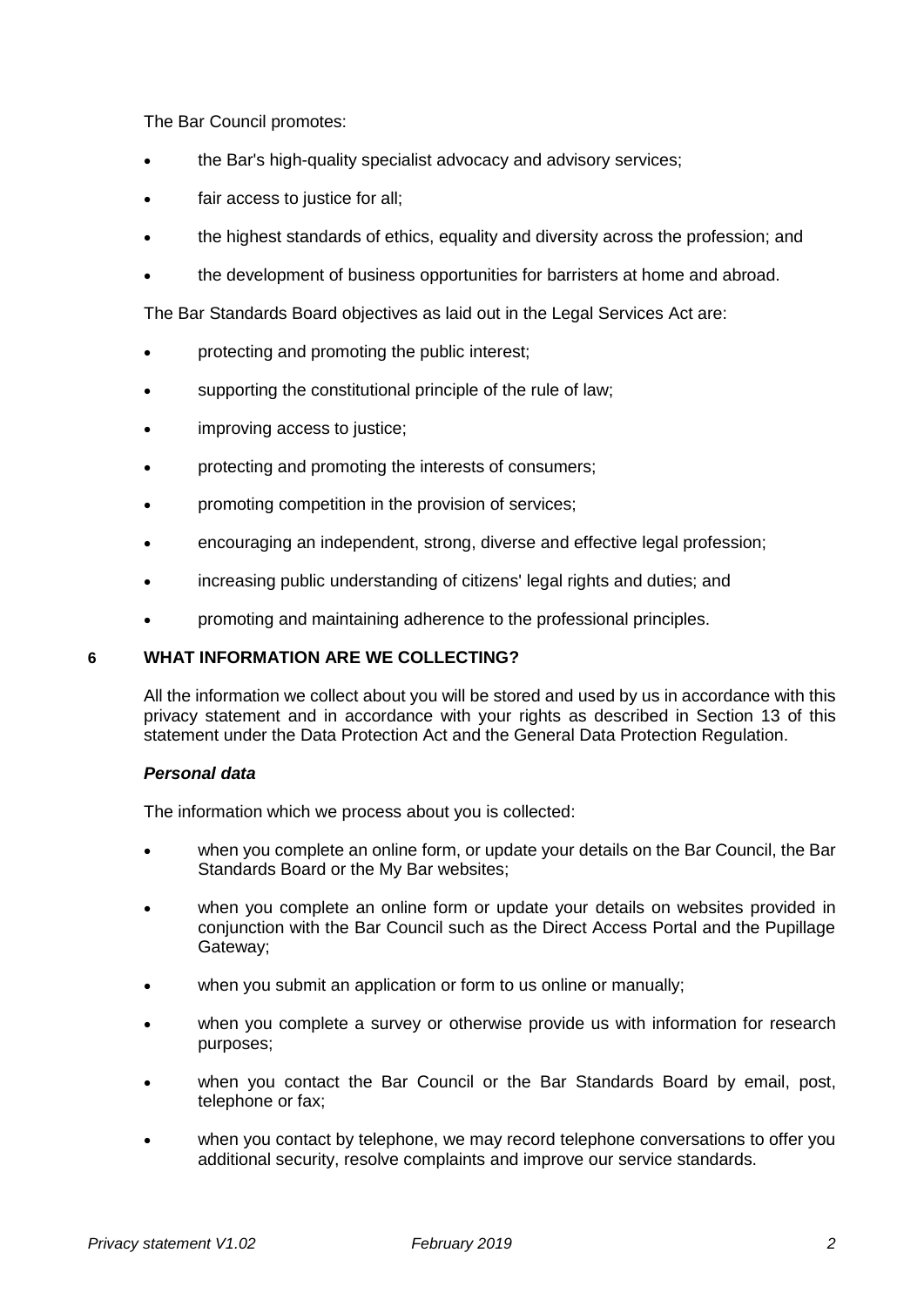The Bar Council promotes:

- the Bar's high-quality specialist advocacy and advisory services;
- fair access to justice for all;
- the highest standards of ethics, equality and diversity across the profession; and
- the development of business opportunities for barristers at home and abroad.

The Bar Standards Board objectives as laid out in the Legal Services Act are:

- protecting and promoting the public interest;
- supporting the constitutional principle of the rule of law;
- improving access to justice;
- protecting and promoting the interests of consumers;
- promoting competition in the provision of services;
- encouraging an independent, strong, diverse and effective legal profession;
- increasing public understanding of citizens' legal rights and duties; and
- promoting and maintaining adherence to the professional principles.

## **6 WHAT INFORMATION ARE WE COLLECTING?**

All the information we collect about you will be stored and used by us in accordance with this privacy statement and in accordance with your rights as described in Section 13 of this statement under the Data Protection Act and the General Data Protection Regulation.

### *Personal data*

The information which we process about you is collected:

- when you complete an online form, or update your details on the Bar Council, the Bar Standards Board or the My Bar websites;
- when you complete an online form or update your details on websites provided in conjunction with the Bar Council such as the Direct Access Portal and the Pupillage Gateway;
- when you submit an application or form to us online or manually;
- when you complete a survey or otherwise provide us with information for research purposes;
- when you contact the Bar Council or the Bar Standards Board by email, post, telephone or fax;
- when you contact by telephone, we may record telephone conversations to offer you additional security, resolve complaints and improve our service standards.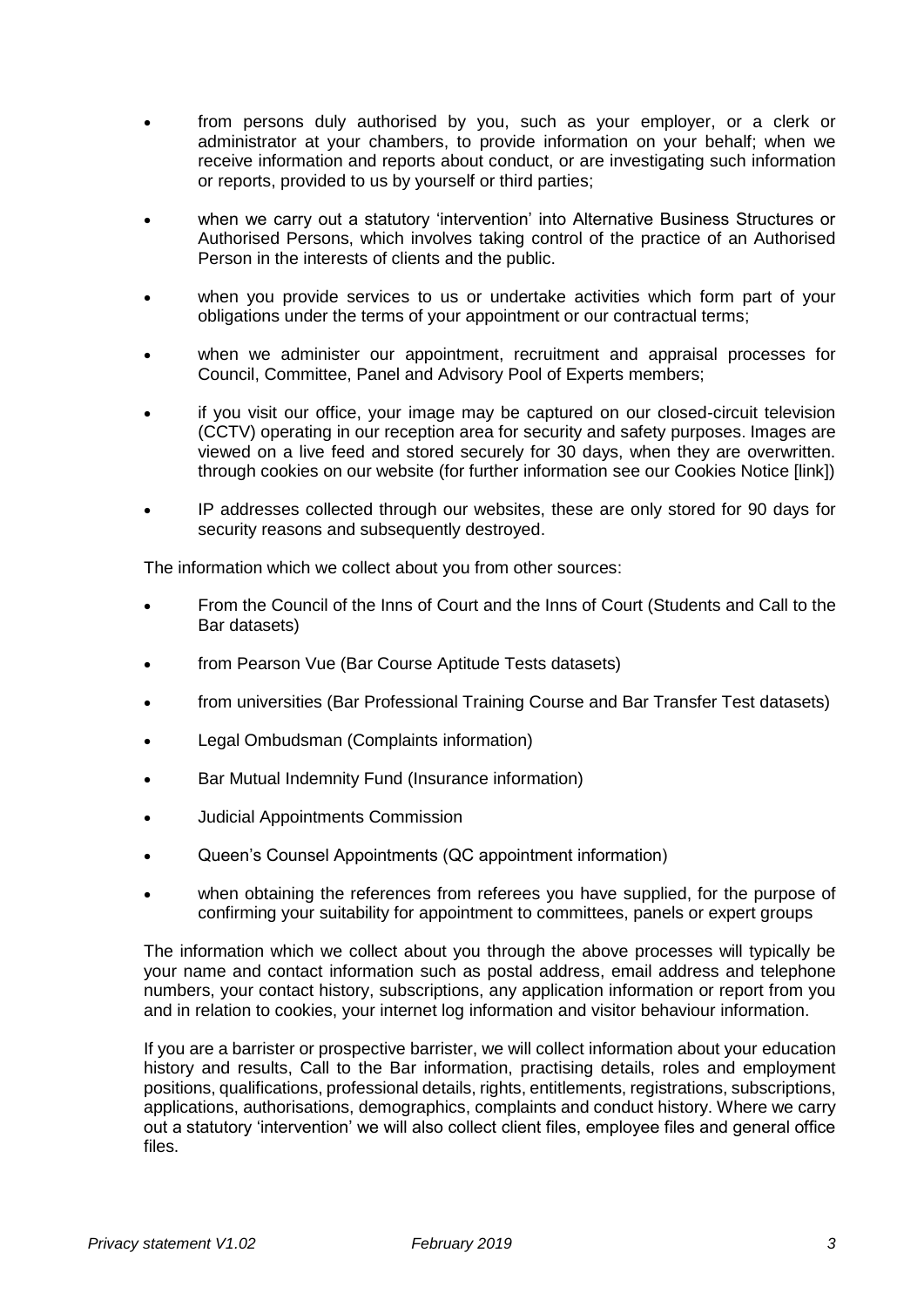- from persons duly authorised by you, such as your employer, or a clerk or administrator at your chambers, to provide information on your behalf; when we receive information and reports about conduct, or are investigating such information or reports, provided to us by yourself or third parties;
- when we carry out a statutory 'intervention' into Alternative Business Structures or Authorised Persons, which involves taking control of the practice of an Authorised Person in the interests of clients and the public.
- when you provide services to us or undertake activities which form part of your obligations under the terms of your appointment or our contractual terms;
- when we administer our appointment, recruitment and appraisal processes for Council, Committee, Panel and Advisory Pool of Experts members;
- if you visit our office, your image may be captured on our closed-circuit television (CCTV) operating in our reception area for security and safety purposes. Images are viewed on a live feed and stored securely for 30 days, when they are overwritten. through cookies on our website (for further information see our Cookies Notice [link])
- IP addresses collected through our websites, these are only stored for 90 days for security reasons and subsequently destroyed.

The information which we collect about you from other sources:

- From the Council of the Inns of Court and the Inns of Court (Students and Call to the Bar datasets)
- from Pearson Vue (Bar Course Aptitude Tests datasets)
- from universities (Bar Professional Training Course and Bar Transfer Test datasets)
- Legal Ombudsman (Complaints information)
- Bar Mutual Indemnity Fund (Insurance information)
- Judicial Appointments Commission
- Queen's Counsel Appointments (QC appointment information)
- when obtaining the references from referees you have supplied, for the purpose of confirming your suitability for appointment to committees, panels or expert groups

The information which we collect about you through the above processes will typically be your name and contact information such as postal address, email address and telephone numbers, your contact history, subscriptions, any application information or report from you and in relation to cookies, your internet log information and visitor behaviour information.

If you are a barrister or prospective barrister, we will collect information about your education history and results, Call to the Bar information, practising details, roles and employment positions, qualifications, professional details, rights, entitlements, registrations, subscriptions, applications, authorisations, demographics, complaints and conduct history. Where we carry out a statutory 'intervention' we will also collect client files, employee files and general office files.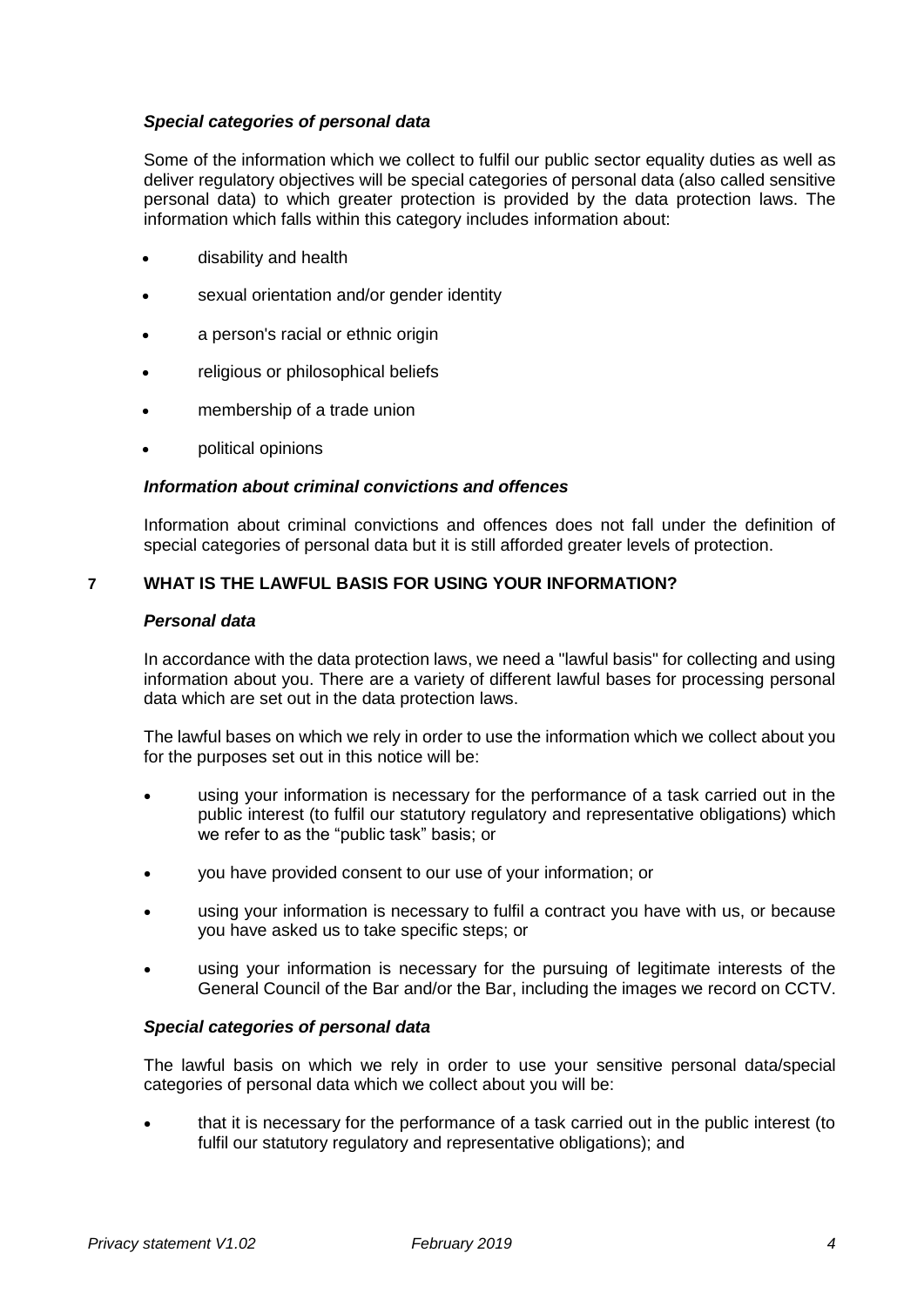## *Special categories of personal data*

Some of the information which we collect to fulfil our public sector equality duties as well as deliver regulatory objectives will be special categories of personal data (also called sensitive personal data) to which greater protection is provided by the data protection laws. The information which falls within this category includes information about:

- disability and health
- sexual orientation and/or gender identity
- a person's racial or ethnic origin
- religious or philosophical beliefs
- membership of a trade union
- political opinions

### *Information about criminal convictions and offences*

Information about criminal convictions and offences does not fall under the definition of special categories of personal data but it is still afforded greater levels of protection.

## **7 WHAT IS THE LAWFUL BASIS FOR USING YOUR INFORMATION?**

#### *Personal data*

In accordance with the data protection laws, we need a "lawful basis" for collecting and using information about you. There are a variety of different lawful bases for processing personal data which are set out in the data protection laws.

The lawful bases on which we rely in order to use the information which we collect about you for the purposes set out in this notice will be:

- using your information is necessary for the performance of a task carried out in the public interest (to fulfil our statutory regulatory and representative obligations) which we refer to as the "public task" basis; or
- you have provided consent to our use of your information; or
- using your information is necessary to fulfil a contract you have with us, or because you have asked us to take specific steps; or
- using your information is necessary for the pursuing of legitimate interests of the General Council of the Bar and/or the Bar, including the images we record on CCTV.

#### *Special categories of personal data*

The lawful basis on which we rely in order to use your sensitive personal data/special categories of personal data which we collect about you will be:

• that it is necessary for the performance of a task carried out in the public interest (to fulfil our statutory regulatory and representative obligations); and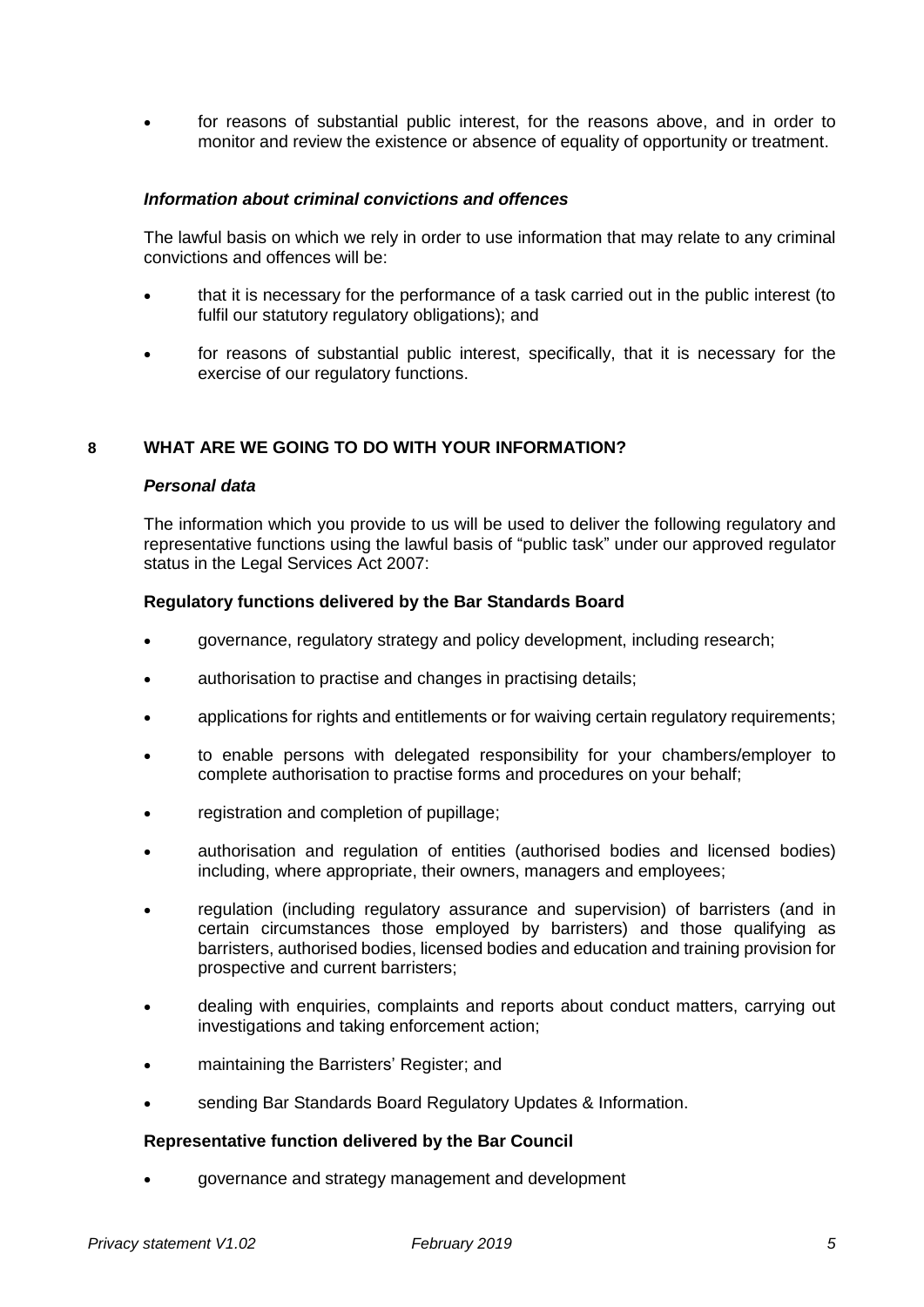• for reasons of substantial public interest, for the reasons above, and in order to monitor and review the existence or absence of equality of opportunity or treatment.

### *Information about criminal convictions and offences*

The lawful basis on which we rely in order to use information that may relate to any criminal convictions and offences will be:

- that it is necessary for the performance of a task carried out in the public interest (to fulfil our statutory regulatory obligations); and
- for reasons of substantial public interest, specifically, that it is necessary for the exercise of our regulatory functions.

## **8 WHAT ARE WE GOING TO DO WITH YOUR INFORMATION?**

#### *Personal data*

The information which you provide to us will be used to deliver the following regulatory and representative functions using the lawful basis of "public task" under our approved regulator status in the Legal Services Act 2007:

#### **Regulatory functions delivered by the Bar Standards Board**

- governance, regulatory strategy and policy development, including research;
- authorisation to practise and changes in practising details;
- applications for rights and entitlements or for waiving certain regulatory requirements;
- to enable persons with delegated responsibility for your chambers/employer to complete authorisation to practise forms and procedures on your behalf;
- registration and completion of pupillage;
- authorisation and regulation of entities (authorised bodies and licensed bodies) including, where appropriate, their owners, managers and employees;
- regulation (including regulatory assurance and supervision) of barristers (and in certain circumstances those employed by barristers) and those qualifying as barristers, authorised bodies, licensed bodies and education and training provision for prospective and current barristers;
- dealing with enquiries, complaints and reports about conduct matters, carrying out investigations and taking enforcement action;
- maintaining the Barristers' Register; and
- sending Bar Standards Board Regulatory Updates & Information.

#### **Representative function delivered by the Bar Council**

• governance and strategy management and development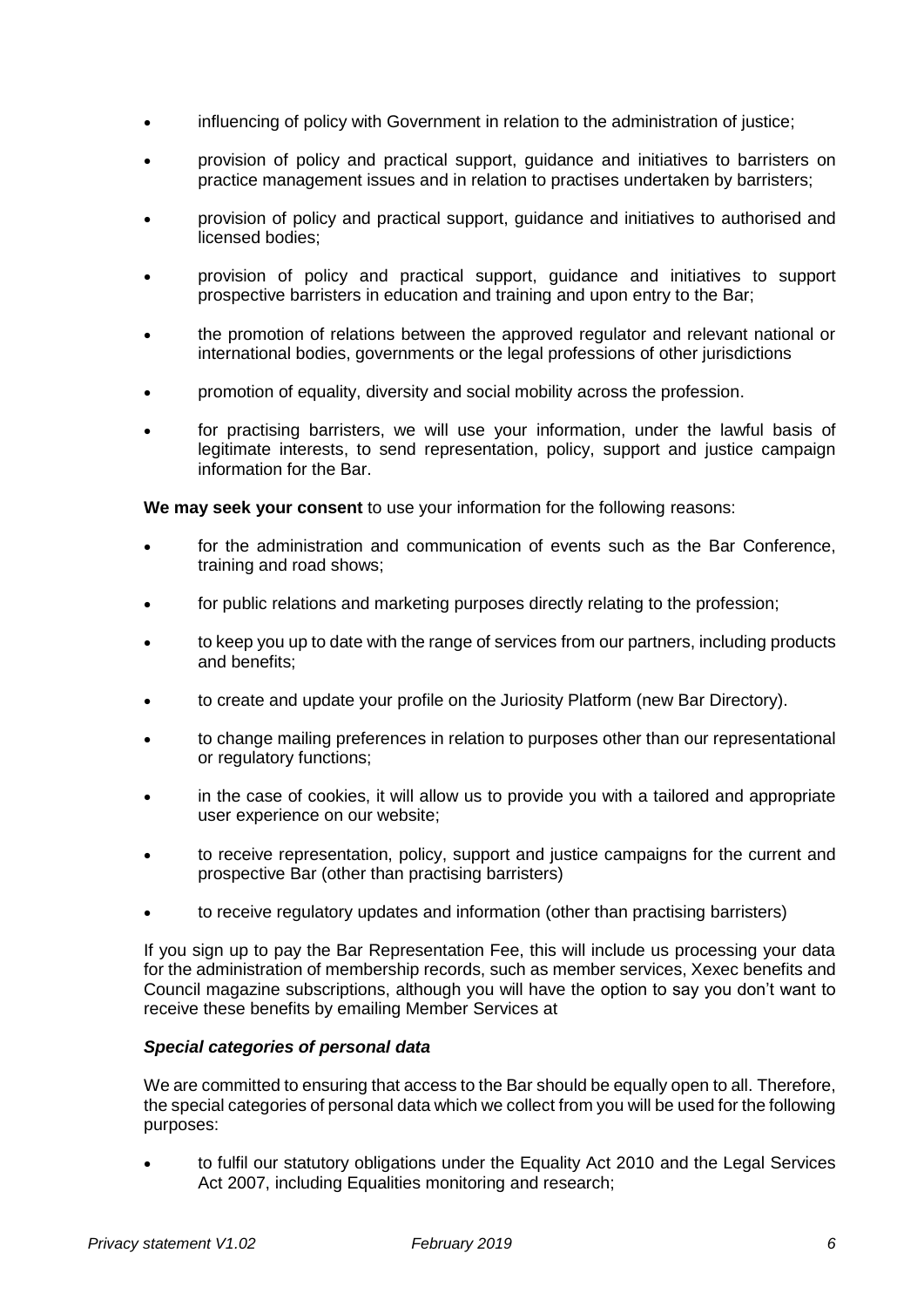- influencing of policy with Government in relation to the administration of justice;
- provision of policy and practical support, guidance and initiatives to barristers on practice management issues and in relation to practises undertaken by barristers;
- provision of policy and practical support, guidance and initiatives to authorised and licensed bodies;
- provision of policy and practical support, guidance and initiatives to support prospective barristers in education and training and upon entry to the Bar;
- the promotion of relations between the approved regulator and relevant national or international bodies, governments or the legal professions of other jurisdictions
- promotion of equality, diversity and social mobility across the profession.
- for practising barristers, we will use your information, under the lawful basis of legitimate interests, to send representation, policy, support and justice campaign information for the Bar.

**We may seek your consent** to use your information for the following reasons:

- for the administration and communication of events such as the Bar Conference, training and road shows;
- for public relations and marketing purposes directly relating to the profession;
- to keep you up to date with the range of services from our partners, including products and benefits;
- to create and update your profile on the Juriosity Platform (new Bar Directory).
- to change mailing preferences in relation to purposes other than our representational or regulatory functions;
- in the case of cookies, it will allow us to provide you with a tailored and appropriate user experience on our website;
- to receive representation, policy, support and justice campaigns for the current and prospective Bar (other than practising barristers)
- to receive regulatory updates and information (other than practising barristers)

If you sign up to pay the Bar Representation Fee, this will include us processing your data for the administration of membership records, such as member services, Xexec benefits and Council magazine subscriptions, although you will have the option to say you don't want to receive these benefits by emailing Member Services at

### *Special categories of personal data*

We are committed to ensuring that access to the Bar should be equally open to all. Therefore, the special categories of personal data which we collect from you will be used for the following purposes:

• to fulfil our statutory obligations under the Equality Act 2010 and the Legal Services Act 2007, including Equalities monitoring and research;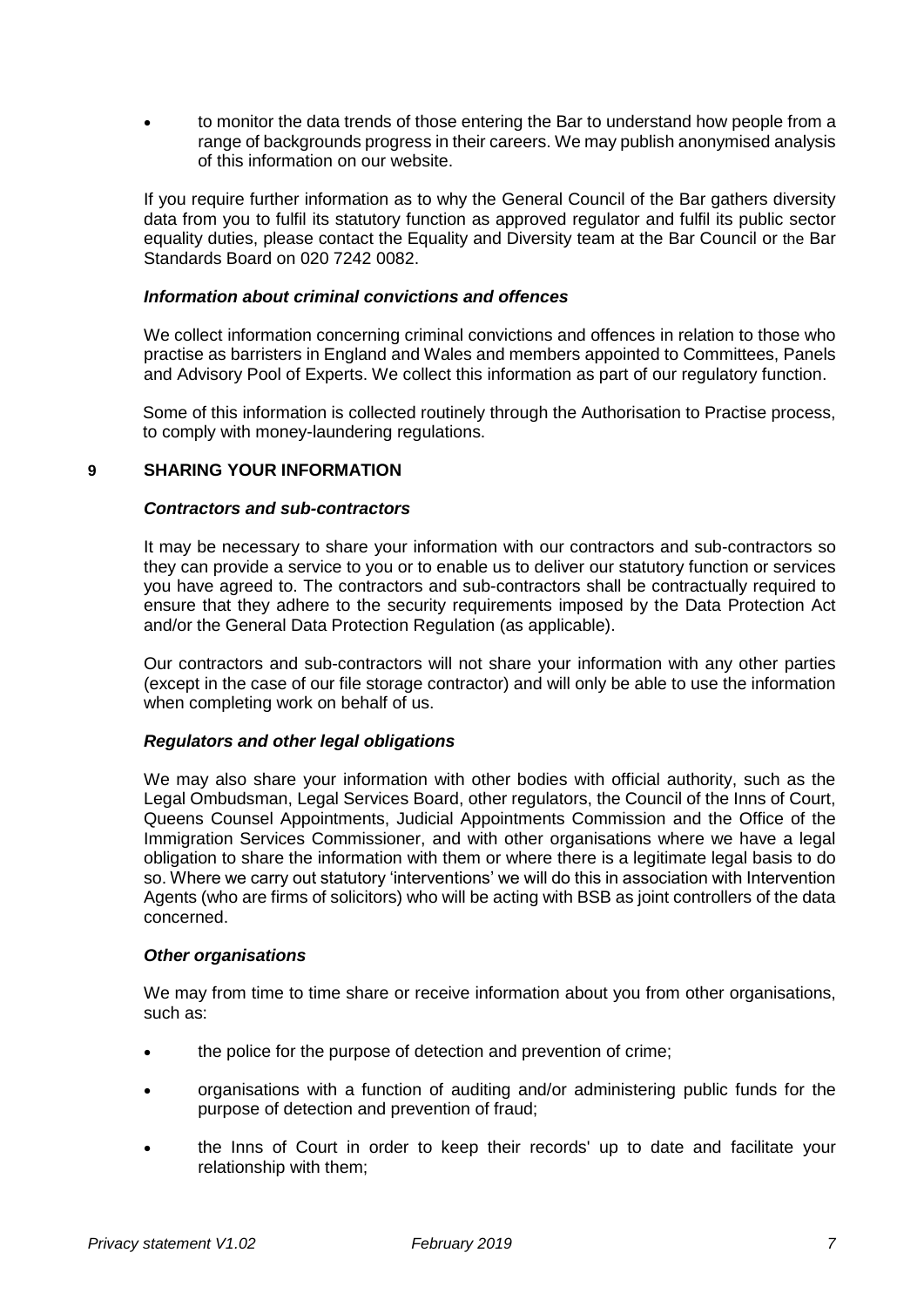• to monitor the data trends of those entering the Bar to understand how people from a range of backgrounds progress in their careers. We may publish anonymised analysis of this information on our website.

If you require further information as to why the General Council of the Bar gathers diversity data from you to fulfil its statutory function as approved regulator and fulfil its public sector equality duties, please contact the Equality and Diversity team at the Bar Council or the Bar Standards Board on 020 7242 0082.

## *Information about criminal convictions and offences*

We collect information concerning criminal convictions and offences in relation to those who practise as barristers in England and Wales and members appointed to Committees, Panels and Advisory Pool of Experts. We collect this information as part of our regulatory function.

Some of this information is collected routinely through the Authorisation to Practise process, to comply with money-laundering regulations.

## **9 SHARING YOUR INFORMATION**

#### *Contractors and sub-contractors*

It may be necessary to share your information with our contractors and sub-contractors so they can provide a service to you or to enable us to deliver our statutory function or services you have agreed to. The contractors and sub-contractors shall be contractually required to ensure that they adhere to the security requirements imposed by the Data Protection Act and/or the General Data Protection Regulation (as applicable).

Our contractors and sub-contractors will not share your information with any other parties (except in the case of our file storage contractor) and will only be able to use the information when completing work on behalf of us.

#### *Regulators and other legal obligations*

We may also share your information with other bodies with official authority, such as the Legal Ombudsman, Legal Services Board, other regulators, the Council of the Inns of Court, Queens Counsel Appointments, Judicial Appointments Commission and the Office of the Immigration Services Commissioner, and with other organisations where we have a legal obligation to share the information with them or where there is a legitimate legal basis to do so. Where we carry out statutory 'interventions' we will do this in association with Intervention Agents (who are firms of solicitors) who will be acting with BSB as joint controllers of the data concerned.

#### *Other organisations*

We may from time to time share or receive information about you from other organisations, such as:

- the police for the purpose of detection and prevention of crime:
- organisations with a function of auditing and/or administering public funds for the purpose of detection and prevention of fraud;
- the Inns of Court in order to keep their records' up to date and facilitate your relationship with them;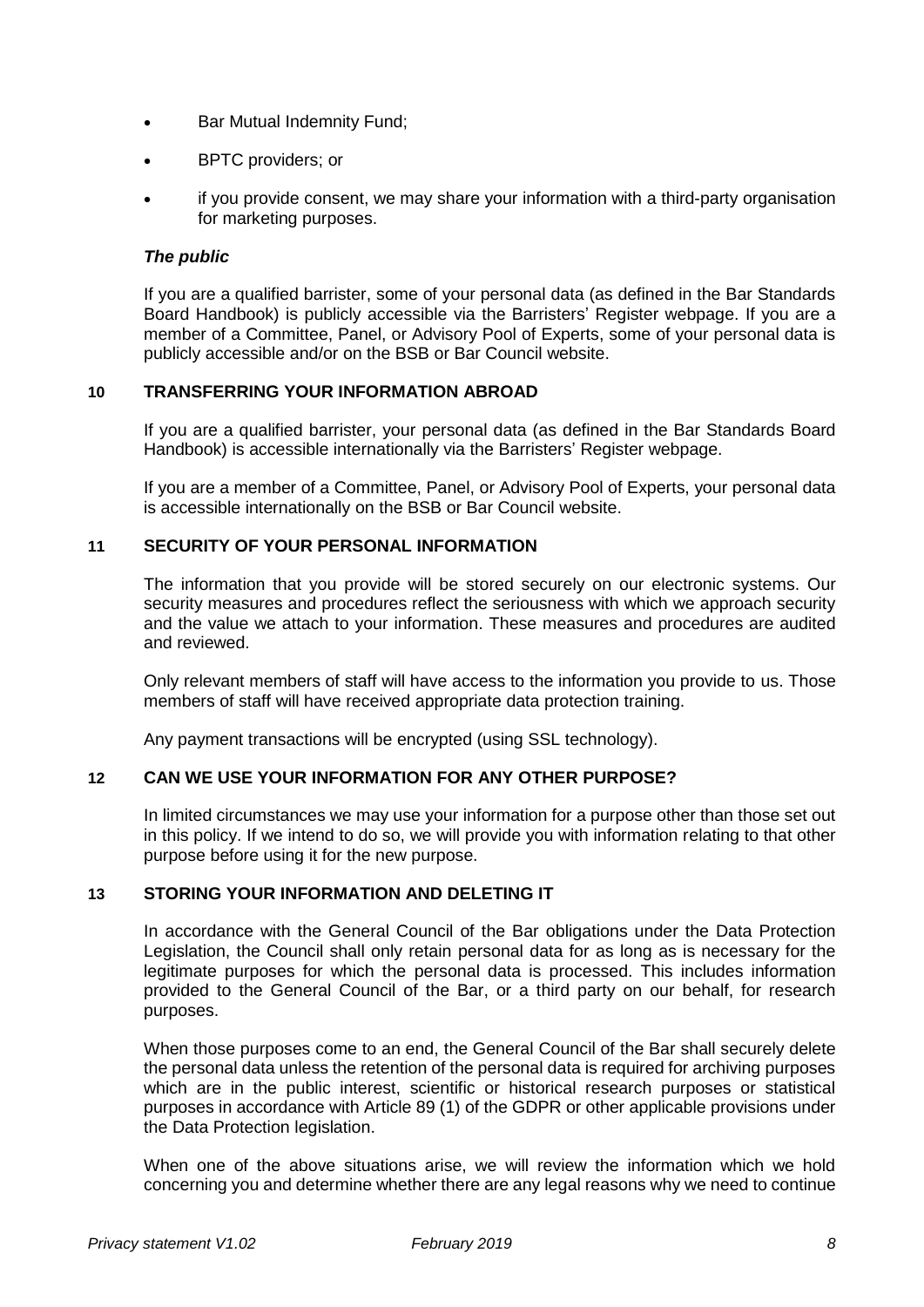- Bar Mutual Indemnity Fund;
- BPTC providers; or
- if you provide consent, we may share your information with a third-party organisation for marketing purposes.

## *The public*

If you are a qualified barrister, some of your personal data (as defined in the Bar Standards Board Handbook) is publicly accessible via the Barristers' Register webpage. If you are a member of a Committee, Panel, or Advisory Pool of Experts, some of your personal data is publicly accessible and/or on the BSB or Bar Council website.

## **10 TRANSFERRING YOUR INFORMATION ABROAD**

If you are a qualified barrister, your personal data (as defined in the Bar Standards Board Handbook) is accessible internationally via the Barristers' Register webpage.

If you are a member of a Committee, Panel, or Advisory Pool of Experts, your personal data is accessible internationally on the BSB or Bar Council website.

## **11 SECURITY OF YOUR PERSONAL INFORMATION**

The information that you provide will be stored securely on our electronic systems. Our security measures and procedures reflect the seriousness with which we approach security and the value we attach to your information. These measures and procedures are audited and reviewed.

Only relevant members of staff will have access to the information you provide to us. Those members of staff will have received appropriate data protection training.

Any payment transactions will be encrypted (using SSL technology).

#### **12 CAN WE USE YOUR INFORMATION FOR ANY OTHER PURPOSE?**

In limited circumstances we may use your information for a purpose other than those set out in this policy. If we intend to do so, we will provide you with information relating to that other purpose before using it for the new purpose.

## **13 STORING YOUR INFORMATION AND DELETING IT**

In accordance with the General Council of the Bar obligations under the Data Protection Legislation, the Council shall only retain personal data for as long as is necessary for the legitimate purposes for which the personal data is processed. This includes information provided to the General Council of the Bar, or a third party on our behalf, for research purposes.

When those purposes come to an end, the General Council of the Bar shall securely delete the personal data unless the retention of the personal data is required for archiving purposes which are in the public interest, scientific or historical research purposes or statistical purposes in accordance with Article 89 (1) of the GDPR or other applicable provisions under the Data Protection legislation.

When one of the above situations arise, we will review the information which we hold concerning you and determine whether there are any legal reasons why we need to continue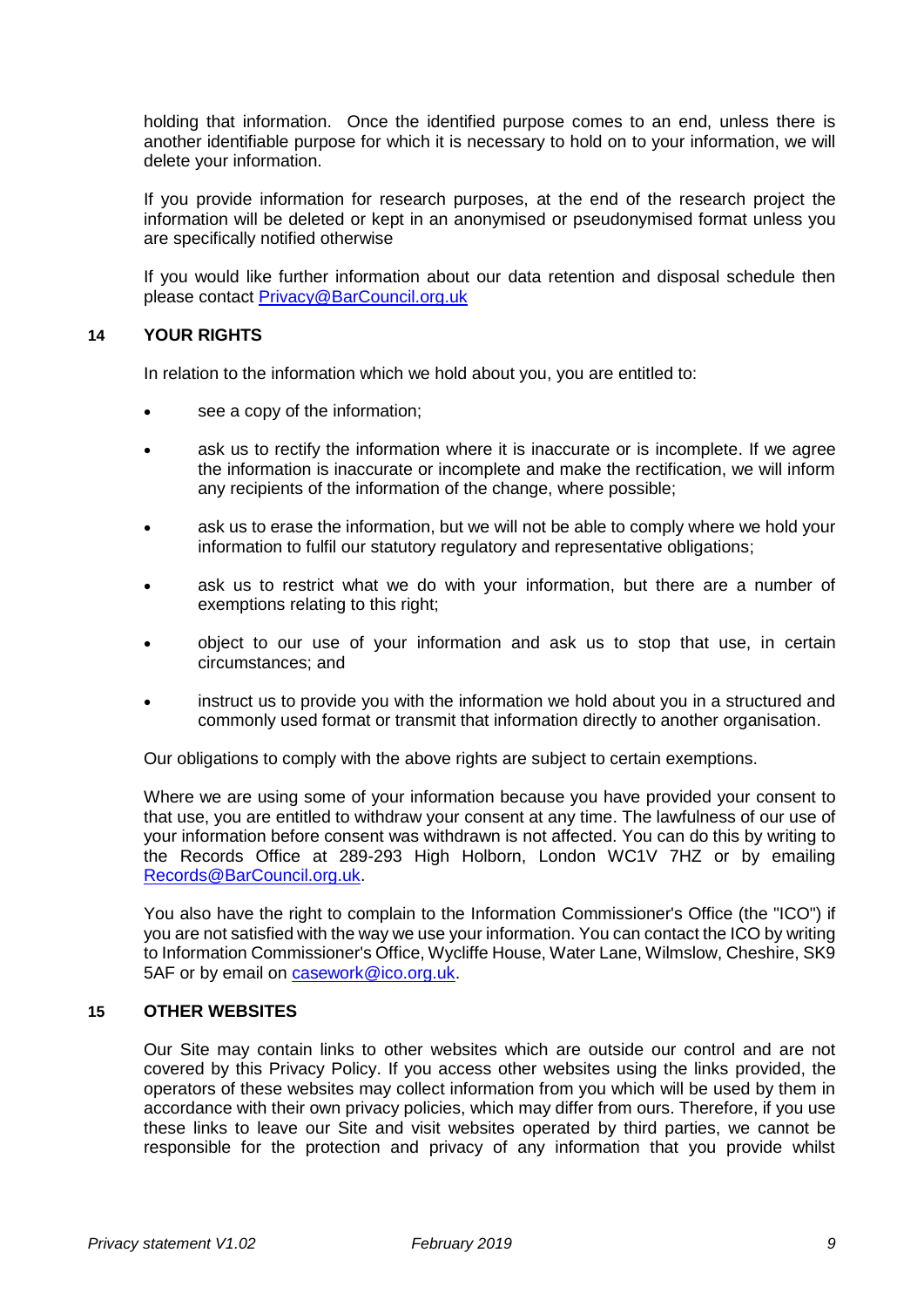holding that information. Once the identified purpose comes to an end, unless there is another identifiable purpose for which it is necessary to hold on to your information, we will delete your information.

If you provide information for research purposes, at the end of the research project the information will be deleted or kept in an anonymised or pseudonymised format unless you are specifically notified otherwise

If you would like further information about our data retention and disposal schedule then please contact [Privacy@BarCouncil.org.uk](mailto:Privacy@BarCouncil.org.uk)

## **14 YOUR RIGHTS**

In relation to the information which we hold about you, you are entitled to:

- see a copy of the information;
- ask us to rectify the information where it is inaccurate or is incomplete. If we agree the information is inaccurate or incomplete and make the rectification, we will inform any recipients of the information of the change, where possible;
- ask us to erase the information, but we will not be able to comply where we hold your information to fulfil our statutory regulatory and representative obligations;
- ask us to restrict what we do with your information, but there are a number of exemptions relating to this right;
- object to our use of your information and ask us to stop that use, in certain circumstances; and
- instruct us to provide you with the information we hold about you in a structured and commonly used format or transmit that information directly to another organisation.

Our obligations to comply with the above rights are subject to certain exemptions.

Where we are using some of your information because you have provided your consent to that use, you are entitled to withdraw your consent at any time. The lawfulness of our use of your information before consent was withdrawn is not affected. You can do this by writing to the Records Office at 289-293 High Holborn, London WC1V 7HZ or by emailing [Records@BarCouncil.org.uk.](mailto:Records@BarCouncil.org.uk)

You also have the right to complain to the Information Commissioner's Office (the "ICO") if you are not satisfied with the way we use your information. You can contact the ICO by writing to Information Commissioner's Office, Wycliffe House, Water Lane, Wilmslow, Cheshire, SK9 5AF or by email on [casework@ico.org.uk.](mailto:casework@ico.org.uk)

## **15 OTHER WEBSITES**

Our Site may contain links to other websites which are outside our control and are not covered by this Privacy Policy. If you access other websites using the links provided, the operators of these websites may collect information from you which will be used by them in accordance with their own privacy policies, which may differ from ours. Therefore, if you use these links to leave our Site and visit websites operated by third parties, we cannot be responsible for the protection and privacy of any information that you provide whilst